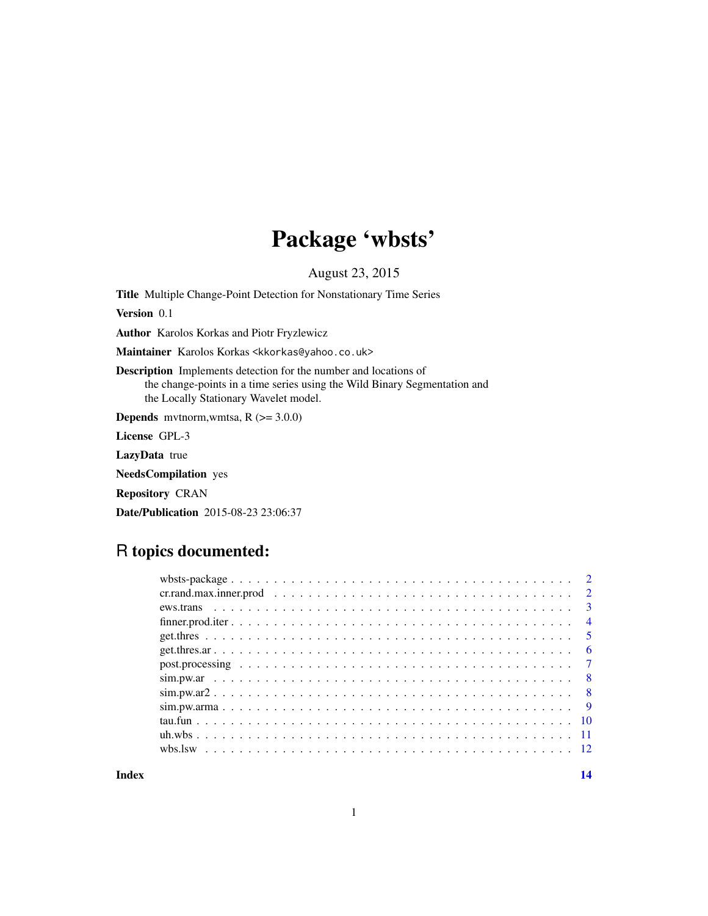## Package 'wbsts'

August 23, 2015

Title Multiple Change-Point Detection for Nonstationary Time Series

Version 0.1

Author Karolos Korkas and Piotr Fryzlewicz

Maintainer Karolos Korkas <kkorkas@yahoo.co.uk>

Description Implements detection for the number and locations of the change-points in a time series using the Wild Binary Segmentation and the Locally Stationary Wavelet model.

**Depends** mythorm, wmtsa,  $R$  ( $>=$  3.0.0)

License GPL-3

LazyData true

NeedsCompilation yes

Repository CRAN

Date/Publication 2015-08-23 23:06:37

## R topics documented:

| $\overline{\mathbf{3}}$ |
|-------------------------|
| $\overline{4}$          |
| - 5                     |
| - 6                     |
|                         |
|                         |
| $\overline{8}$          |
|                         |
|                         |
|                         |
|                         |
|                         |

**Index** and the contract of the contract of the contract of the contract of the contract of the contract of the contract of the contract of the contract of the contract of the contract of the contract of the contract of th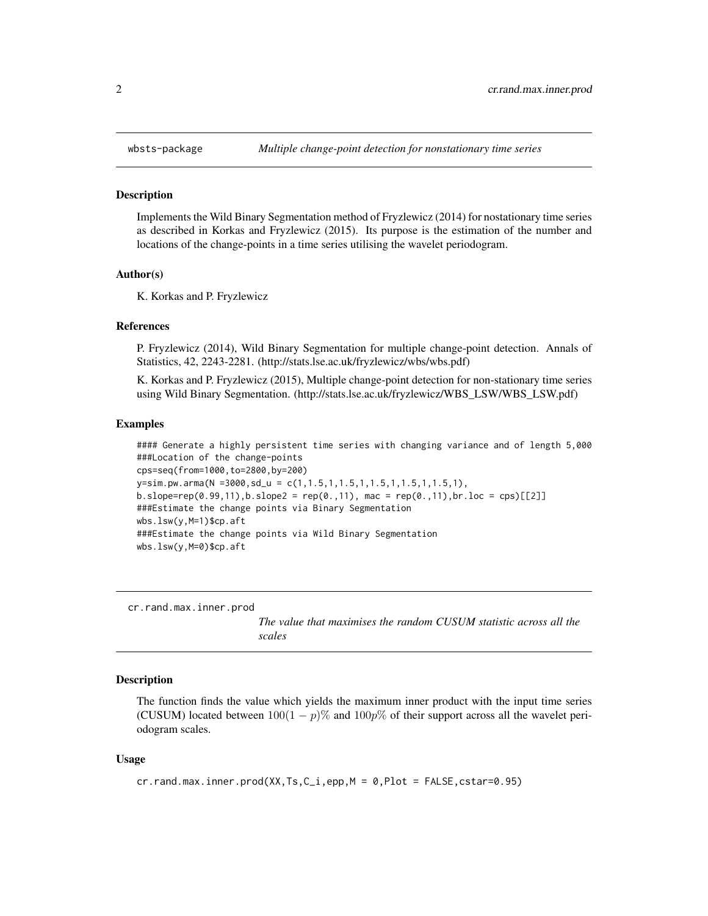<span id="page-1-0"></span>

#### **Description**

Implements the Wild Binary Segmentation method of Fryzlewicz (2014) for nostationary time series as described in Korkas and Fryzlewicz (2015). Its purpose is the estimation of the number and locations of the change-points in a time series utilising the wavelet periodogram.

#### Author(s)

K. Korkas and P. Fryzlewicz

#### References

P. Fryzlewicz (2014), Wild Binary Segmentation for multiple change-point detection. Annals of Statistics, 42, 2243-2281. (http://stats.lse.ac.uk/fryzlewicz/wbs/wbs.pdf)

K. Korkas and P. Fryzlewicz (2015), Multiple change-point detection for non-stationary time series using Wild Binary Segmentation. (http://stats.lse.ac.uk/fryzlewicz/WBS\_LSW/WBS\_LSW.pdf)

#### Examples

```
#### Generate a highly persistent time series with changing variance and of length 5,000
###Location of the change-points
cps=seq(from=1000,to=2800,by=200)
y=sim.pw.arma(N =3000,sd_u = c(1,1.5,1,1.5,1,1.5,1,1.5,1,1.5,1),
b.slope = rep(0.99, 11), b.slope2 = rep(0., 11), mac = rep(0., 11), br.loc = cps)[[2]]###Estimate the change points via Binary Segmentation
wbs.lsw(y,M=1)$cp.aft
###Estimate the change points via Wild Binary Segmentation
wbs.lsw(y,M=0)$cp.aft
```
cr.rand.max.inner.prod

*The value that maximises the random CUSUM statistic across all the scales*

#### Description

The function finds the value which yields the maximum inner product with the input time series (CUSUM) located between  $100(1 - p)$ % and  $100p$ % of their support across all the wavelet periodogram scales.

#### Usage

```
cr.rand.max.inner.prod(XX,Ts,C_i,epp,M = 0,Plot = FALSE,cstar=0.95)
```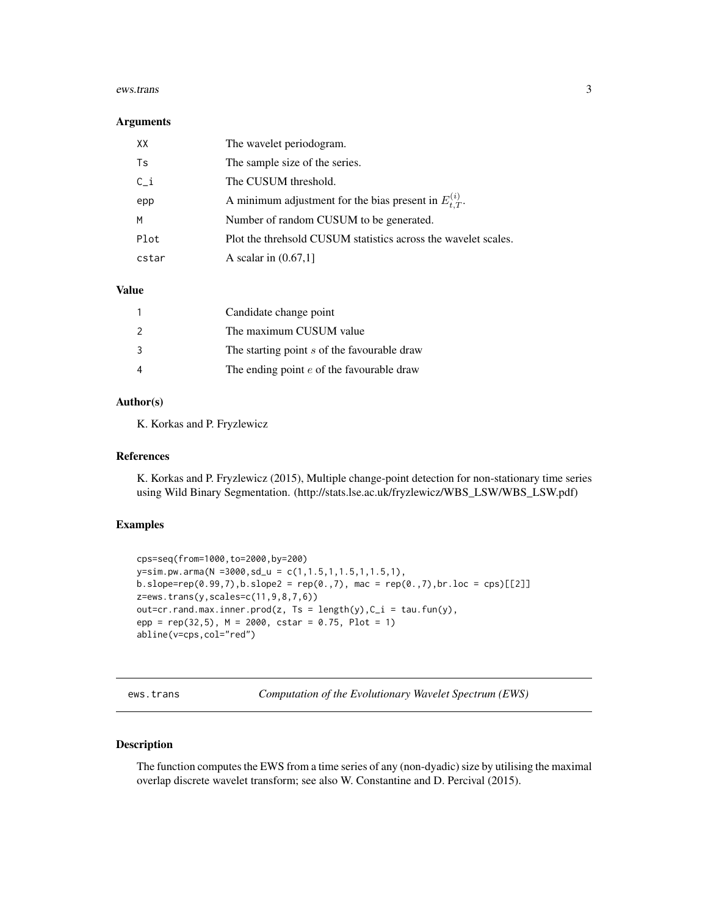#### <span id="page-2-0"></span>ews.trans 3

#### **Arguments**

| XX    | The wavelet periodogram.                                       |
|-------|----------------------------------------------------------------|
| Ts    | The sample size of the series.                                 |
| $C_i$ | The CUSUM threshold.                                           |
| epp   | A minimum adjustment for the bias present in $E_t^{(i)}$ .     |
| M     | Number of random CUSUM to be generated.                        |
| Plot  | Plot the threhsold CUSUM statistics across the wavelet scales. |
| cstar | A scalar in $(0.67,1]$                                         |

#### Value

|                | Candidate change point                      |
|----------------|---------------------------------------------|
| $\overline{2}$ | The maximum CUSUM value                     |
| -3             | The starting point s of the favourable draw |
|                | The ending point $e$ of the favourable draw |

## Author(s)

K. Korkas and P. Fryzlewicz

#### References

K. Korkas and P. Fryzlewicz (2015), Multiple change-point detection for non-stationary time series using Wild Binary Segmentation. (http://stats.lse.ac.uk/fryzlewicz/WBS\_LSW/WBS\_LSW.pdf)

#### Examples

```
cps=seq(from=1000,to=2000,by=200)
y=sim.pw.arma(N =3000,sd_u = c(1,1.5,1,1.5,1,1.5,1),
b.slope = rep(0.99, 7), b.slope2 = rep(0., 7), mac = rep(0., 7), br. loc = cps)[[2]]z=ews.trans(y,scales=c(11,9,8,7,6))
out=cr.rand.max.inner.prod(z, Ts = length(y), C_i = tau,fun(y),epp = rep(32,5), M = 2000, cstar = 0.75, Plot = 1)
abline(v=cps,col="red")
```
ews.trans *Computation of the Evolutionary Wavelet Spectrum (EWS)*

## Description

The function computes the EWS from a time series of any (non-dyadic) size by utilising the maximal overlap discrete wavelet transform; see also W. Constantine and D. Percival (2015).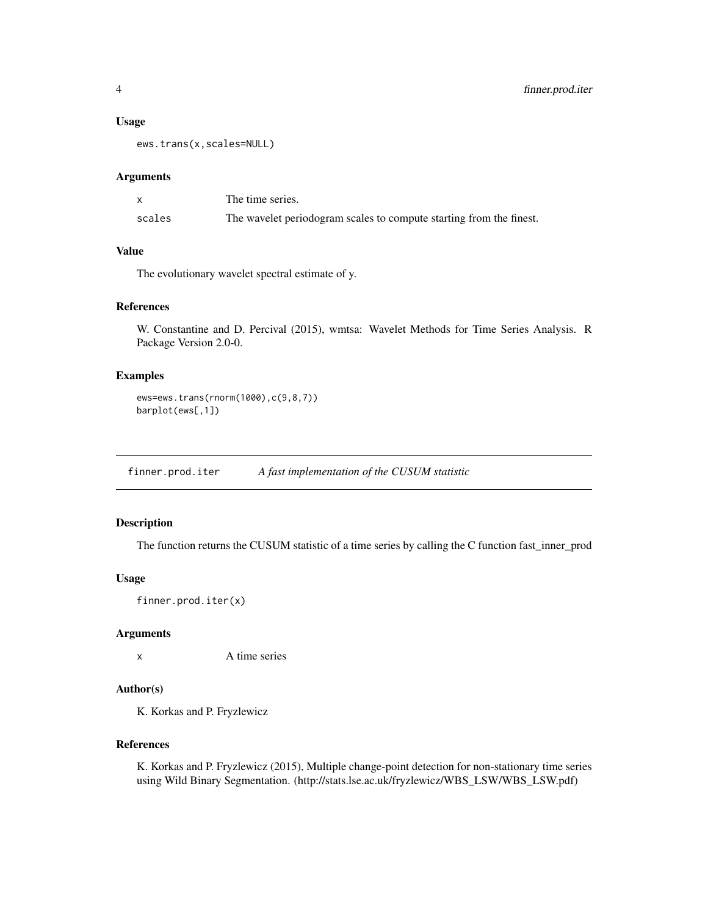#### <span id="page-3-0"></span>Usage

ews.trans(x,scales=NULL)

#### Arguments

|        | The time series.                                                    |
|--------|---------------------------------------------------------------------|
| scales | The wavelet periodogram scales to compute starting from the finest. |

## Value

The evolutionary wavelet spectral estimate of y.

## References

W. Constantine and D. Percival (2015), wmtsa: Wavelet Methods for Time Series Analysis. R Package Version 2.0-0.

## Examples

```
ews=ews.trans(rnorm(1000),c(9,8,7))
barplot(ews[,1])
```
finner.prod.iter *A fast implementation of the CUSUM statistic*

## Description

The function returns the CUSUM statistic of a time series by calling the C function fast\_inner\_prod

### Usage

```
finner.prod.iter(x)
```
#### Arguments

x A time series

#### Author(s)

K. Korkas and P. Fryzlewicz

## References

K. Korkas and P. Fryzlewicz (2015), Multiple change-point detection for non-stationary time series using Wild Binary Segmentation. (http://stats.lse.ac.uk/fryzlewicz/WBS\_LSW/WBS\_LSW.pdf)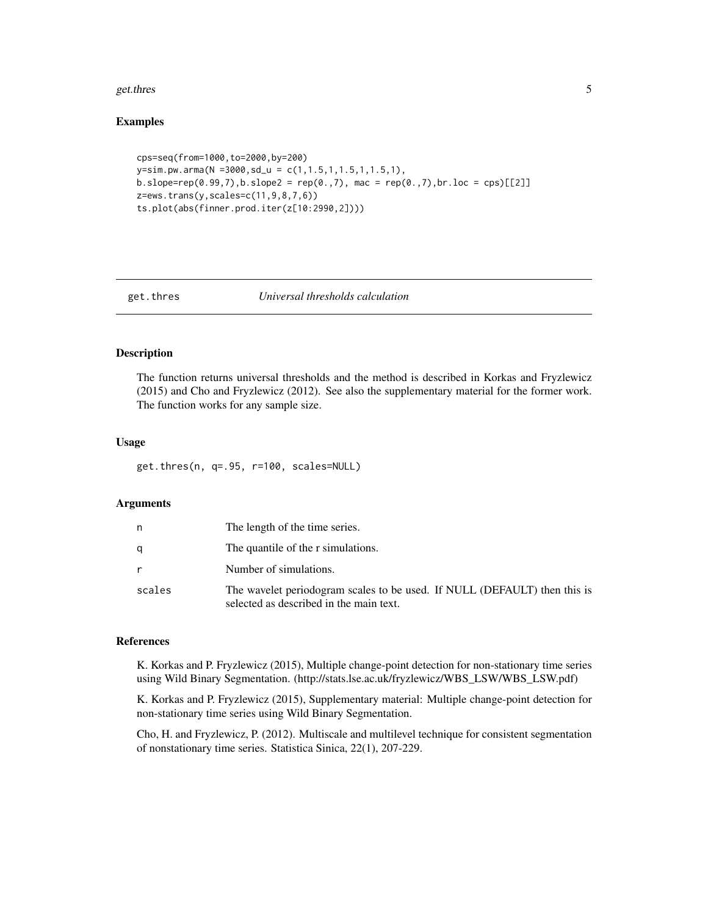#### <span id="page-4-0"></span>get.thres 5

#### Examples

```
cps=seq(from=1000,to=2000,by=200)
y=sim.pw.arma(N =3000,sd_u = c(1,1.5,1,1.5,1,1.5,1),
b.slope = rep(0.99, 7), b.slope2 = rep(0., 7), mac = rep(0., 7), br. loc = cps)[[2]]z=ews.trans(y,scales=c(11,9,8,7,6))
ts.plot(abs(finner.prod.iter(z[10:2990,2])))
```
#### get.thres *Universal thresholds calculation*

### Description

The function returns universal thresholds and the method is described in Korkas and Fryzlewicz (2015) and Cho and Fryzlewicz (2012). See also the supplementary material for the former work. The function works for any sample size.

#### Usage

get.thres(n, q=.95, r=100, scales=NULL)

#### Arguments

| n      | The length of the time series.                                                                                       |
|--------|----------------------------------------------------------------------------------------------------------------------|
| a      | The quantile of the r simulations.                                                                                   |
|        | Number of simulations.                                                                                               |
| scales | The wavelet periodogram scales to be used. If NULL (DEFAULT) then this is<br>selected as described in the main text. |

#### References

K. Korkas and P. Fryzlewicz (2015), Multiple change-point detection for non-stationary time series using Wild Binary Segmentation. (http://stats.lse.ac.uk/fryzlewicz/WBS\_LSW/WBS\_LSW.pdf)

K. Korkas and P. Fryzlewicz (2015), Supplementary material: Multiple change-point detection for non-stationary time series using Wild Binary Segmentation.

Cho, H. and Fryzlewicz, P. (2012). Multiscale and multilevel technique for consistent segmentation of nonstationary time series. Statistica Sinica, 22(1), 207-229.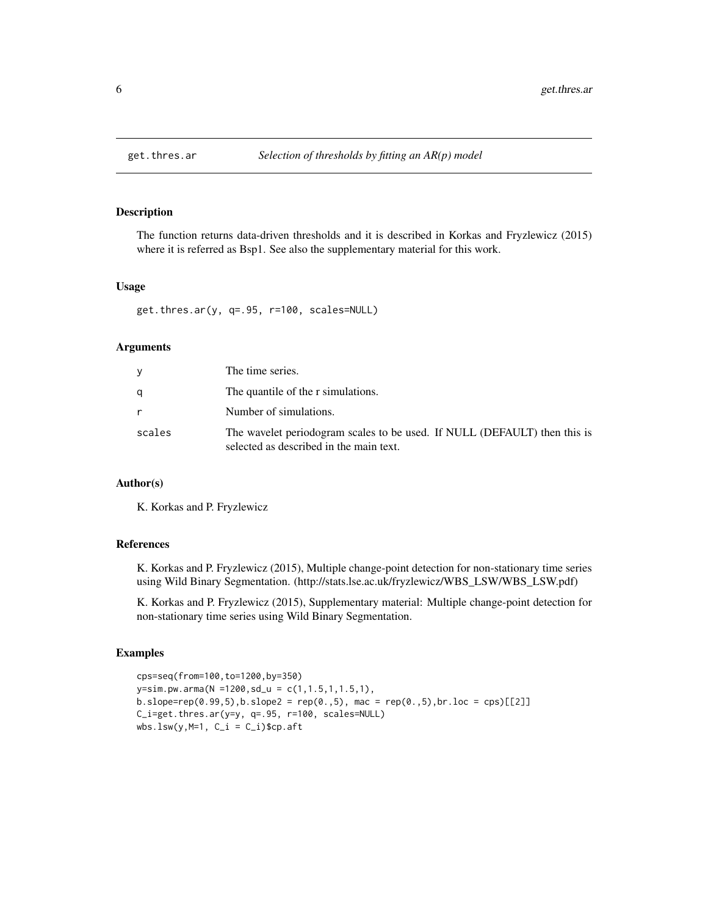<span id="page-5-0"></span>

### Description

The function returns data-driven thresholds and it is described in Korkas and Fryzlewicz (2015) where it is referred as Bsp1. See also the supplementary material for this work.

### Usage

get.thres.ar(y, q=.95, r=100, scales=NULL)

#### Arguments

| v      | The time series.                                                                                                     |
|--------|----------------------------------------------------------------------------------------------------------------------|
|        | The quantile of the r simulations.                                                                                   |
|        | Number of simulations.                                                                                               |
| scales | The wavelet periodogram scales to be used. If NULL (DEFAULT) then this is<br>selected as described in the main text. |

## Author(s)

K. Korkas and P. Fryzlewicz

## References

K. Korkas and P. Fryzlewicz (2015), Multiple change-point detection for non-stationary time series using Wild Binary Segmentation. (http://stats.lse.ac.uk/fryzlewicz/WBS\_LSW/WBS\_LSW.pdf)

K. Korkas and P. Fryzlewicz (2015), Supplementary material: Multiple change-point detection for non-stationary time series using Wild Binary Segmentation.

#### Examples

```
cps=seq(from=100,to=1200,by=350)
y=sim.pw.arma(N =1200,sd_u = c(1,1.5,1,1.5,1),
b.\text{slope} = \text{rep}(0.99, 5), b.\text{slope2} = \text{rep}(0., 5), \text{mac} = \text{rep}(0., 5), br.\text{loc} = \text{cps}([2])C_i=get.thres.ar(y=y, q=.95, r=100, scales=NULL)
wbs.lsw(y,M=1, C_i = C_i)$cp.aft
```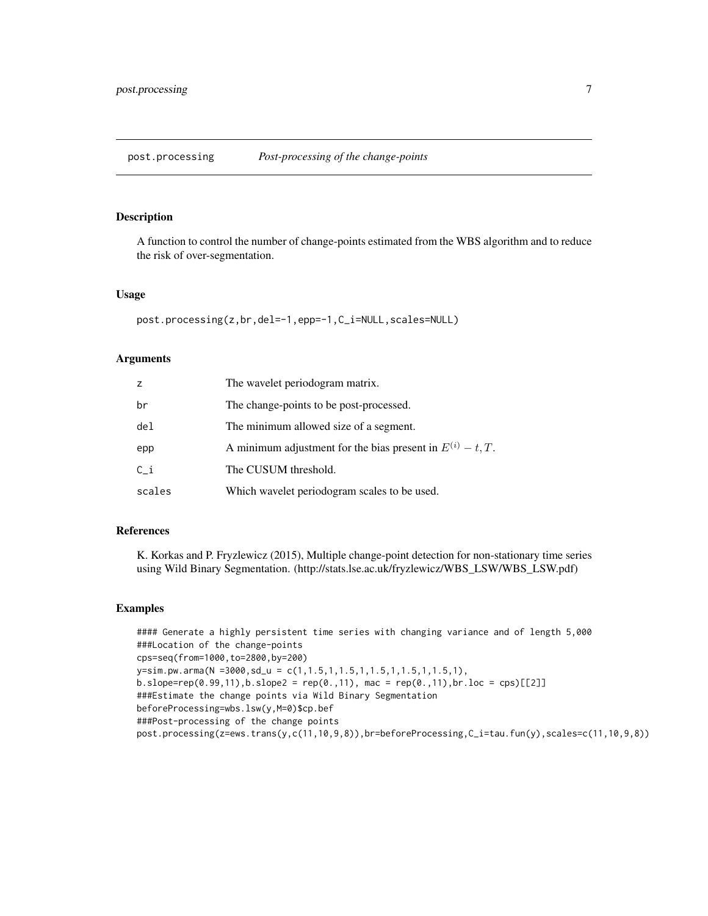<span id="page-6-0"></span>post.processing *Post-processing of the change-points*

#### Description

A function to control the number of change-points estimated from the WBS algorithm and to reduce the risk of over-segmentation.

#### Usage

```
post.processing(z,br,del=-1,epp=-1,C_i=NULL,scales=NULL)
```
#### Arguments

| z      | The wavelet periodogram matrix.                                 |
|--------|-----------------------------------------------------------------|
| br     | The change-points to be post-processed.                         |
| del    | The minimum allowed size of a segment.                          |
| epp    | A minimum adjustment for the bias present in $E^{(i)} - t$ , T. |
| $C_i$  | The CUSUM threshold.                                            |
| scales | Which wavelet periodogram scales to be used.                    |

#### References

K. Korkas and P. Fryzlewicz (2015), Multiple change-point detection for non-stationary time series using Wild Binary Segmentation. (http://stats.lse.ac.uk/fryzlewicz/WBS\_LSW/WBS\_LSW.pdf)

#### Examples

```
#### Generate a highly persistent time series with changing variance and of length 5,000
###Location of the change-points
cps=seq(from=1000,to=2800,by=200)
y=sim.pw.arma(N =3000,sd_u = c(1,1.5,1,1.5,1,1.5,1,1.5,1,1.5,1),
b.slope=rep(0.99,11),b.slope2 = rep(0.,11), mac = rep(0.,11),br.loc = cps)[[2]]
###Estimate the change points via Wild Binary Segmentation
beforeProcessing=wbs.lsw(y,M=0)$cp.bef
###Post-processing of the change points
post.processing(z=ews.trans(y,c(11,10,9,8)),br=beforeProcessing,C_i=tau.fun(y),scales=c(11,10,9,8))
```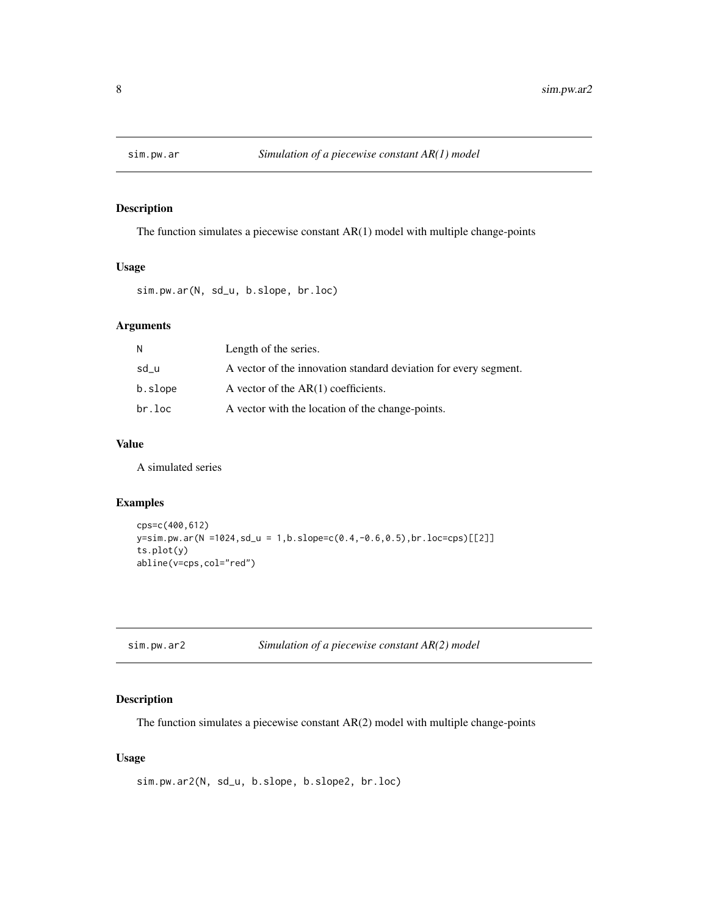<span id="page-7-0"></span>

## Description

The function simulates a piecewise constant AR(1) model with multiple change-points

## Usage

sim.pw.ar(N, sd\_u, b.slope, br.loc)

## Arguments

| N       | Length of the series.                                            |
|---------|------------------------------------------------------------------|
| sd_u    | A vector of the innovation standard deviation for every segment. |
| b.slope | A vector of the $AR(1)$ coefficients.                            |
| br.loc  | A vector with the location of the change-points.                 |

## Value

A simulated series

## Examples

```
cps=c(400,612)
y=sim.pw.ar(N =1024,sd_u = 1,b.slope=c(0.4,-0.6,0.5),br.loc=cps)[[2]]
ts.plot(y)
abline(v=cps,col="red")
```
## Description

The function simulates a piecewise constant AR(2) model with multiple change-points

## Usage

```
sim.pw.ar2(N, sd_u, b.slope, b.slope2, br.loc)
```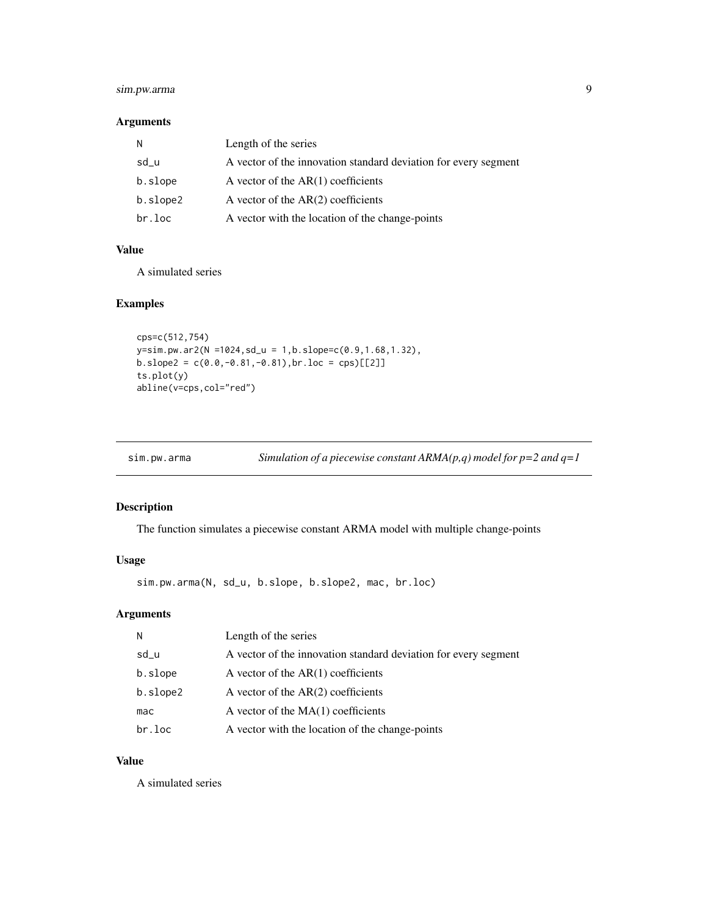## <span id="page-8-0"></span>sim.pw.arma 9

## Arguments

| N        | Length of the series                                            |
|----------|-----------------------------------------------------------------|
| sd_u     | A vector of the innovation standard deviation for every segment |
| b.slope  | A vector of the $AR(1)$ coefficients                            |
| b.slope2 | A vector of the $AR(2)$ coefficients                            |
| br.loc   | A vector with the location of the change-points                 |

### Value

A simulated series

## Examples

```
cps=c(512,754)
y=sim.pw.ar2(N =1024,sd_u = 1,b.slope=c(0.9,1.68,1.32),
b.slope2 = c(0.0, -0.81, -0.81), br.loc = cps)[[2]]ts.plot(y)
abline(v=cps,col="red")
```

| Simulation of a piecewise constant ARMA( $p,q$ ) model for $p=2$ and $q=1$<br>sim.pw.arma |
|-------------------------------------------------------------------------------------------|
|-------------------------------------------------------------------------------------------|

## Description

The function simulates a piecewise constant ARMA model with multiple change-points

## Usage

sim.pw.arma(N, sd\_u, b.slope, b.slope2, mac, br.loc)

## Arguments

| N        | Length of the series                                            |
|----------|-----------------------------------------------------------------|
| sd_u     | A vector of the innovation standard deviation for every segment |
| b.slope  | A vector of the $AR(1)$ coefficients                            |
| b.slope2 | A vector of the $AR(2)$ coefficients                            |
| mac      | A vector of the $MA(1)$ coefficients                            |
| br.loc   | A vector with the location of the change-points                 |

## Value

A simulated series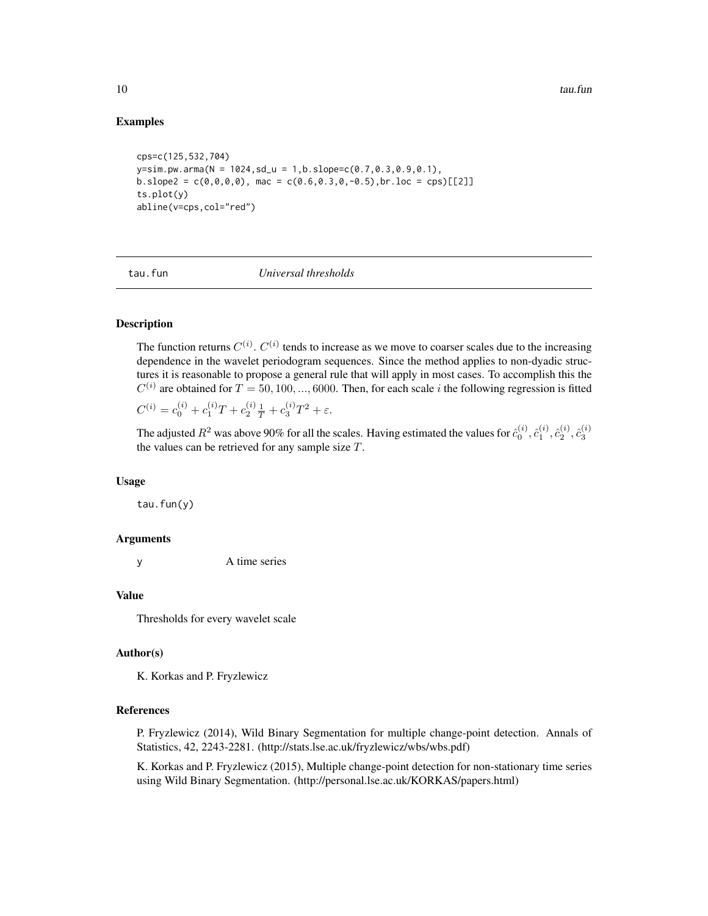#### Examples

```
cps=c(125,532,704)
y=sim.pw.arma(N = 1024, sd_u = 1,b.slope=c(0.7,0.3,0.9,0.1),b.\text{slope2} = c(0,0,0,0), \text{mac} = c(0.6,0.3,0,-0.5), br.\text{loc} = \text{cps}[[2]]ts.plot(y)
abline(v=cps,col="red")
```
tau.fun *Universal thresholds*

## **Description**

The function returns  $C^{(i)}$ .  $C^{(i)}$  tends to increase as we move to coarser scales due to the increasing dependence in the wavelet periodogram sequences. Since the method applies to non-dyadic structures it is reasonable to propose a general rule that will apply in most cases. To accomplish this the  $C^{(i)}$  are obtained for  $T = 50, 100, ..., 6000$ . Then, for each scale i the following regression is fitted

 $C^{(i)} = c_0^{(i)} + c_1^{(i)}T + c_2^{(i)}\frac{1}{T} + c_3^{(i)}T^2 + \varepsilon.$ 

The adjusted  $R^2$  was above 90% for all the scales. Having estimated the values for  $\hat{c}_0^{(i)}, \hat{c}_1^{(i)}, \hat{c}_2^{(i)}, \hat{c}_3^{(i)}$ the values can be retrieved for any sample size  $T$ .

#### Usage

tau.fun(y)

#### Arguments

y A time series

#### Value

Thresholds for every wavelet scale

#### Author(s)

K. Korkas and P. Fryzlewicz

#### References

P. Fryzlewicz (2014), Wild Binary Segmentation for multiple change-point detection. Annals of Statistics, 42, 2243-2281. (http://stats.lse.ac.uk/fryzlewicz/wbs/wbs.pdf)

K. Korkas and P. Fryzlewicz (2015), Multiple change-point detection for non-stationary time series using Wild Binary Segmentation. (http://personal.lse.ac.uk/KORKAS/papers.html)

<span id="page-9-0"></span>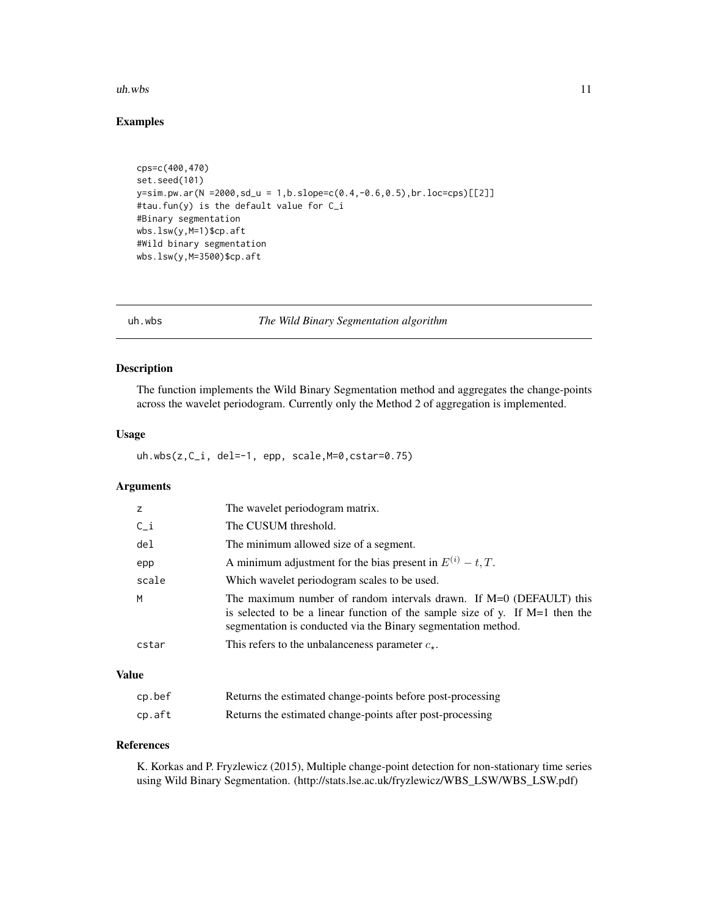#### <span id="page-10-0"></span>uh.wbs 11

## Examples

```
cps=c(400,470)
set.seed(101)
y=sim.pw.ar(N = 2000, sd_u = 1, b.slope=c(0.4, -0.6, 0.5), br.loc=cps)[[2]]#tau.fun(y) is the default value for C_i
#Binary segmentation
wbs.lsw(y,M=1)$cp.aft
#Wild binary segmentation
wbs.lsw(y,M=3500)$cp.aft
```
uh.wbs *The Wild Binary Segmentation algorithm*

## Description

The function implements the Wild Binary Segmentation method and aggregates the change-points across the wavelet periodogram. Currently only the Method 2 of aggregation is implemented.

#### Usage

uh.wbs(z,C\_i, del=-1, epp, scale,M=0,cstar=0.75)

## Arguments

| z               | The wavelet periodogram matrix.                                                                                                                                                                                          |
|-----------------|--------------------------------------------------------------------------------------------------------------------------------------------------------------------------------------------------------------------------|
| $C_i$           | The CUSUM threshold.                                                                                                                                                                                                     |
| de <sub>l</sub> | The minimum allowed size of a segment.                                                                                                                                                                                   |
| epp             | A minimum adjustment for the bias present in $E^{(i)} - t, T$ .                                                                                                                                                          |
| scale           | Which wavelet periodogram scales to be used.                                                                                                                                                                             |
| M               | The maximum number of random intervals drawn. If $M=0$ (DEFAULT) this<br>is selected to be a linear function of the sample size of y. If $M=1$ then the<br>segmentation is conducted via the Binary segmentation method. |
| cstar           | This refers to the unbalanceness parameter $c_{\star}$ .                                                                                                                                                                 |

## Value

| cp.bef | Returns the estimated change-points before post-processing |
|--------|------------------------------------------------------------|
| cp.aft | Returns the estimated change-points after post-processing  |

## References

K. Korkas and P. Fryzlewicz (2015), Multiple change-point detection for non-stationary time series using Wild Binary Segmentation. (http://stats.lse.ac.uk/fryzlewicz/WBS\_LSW/WBS\_LSW.pdf)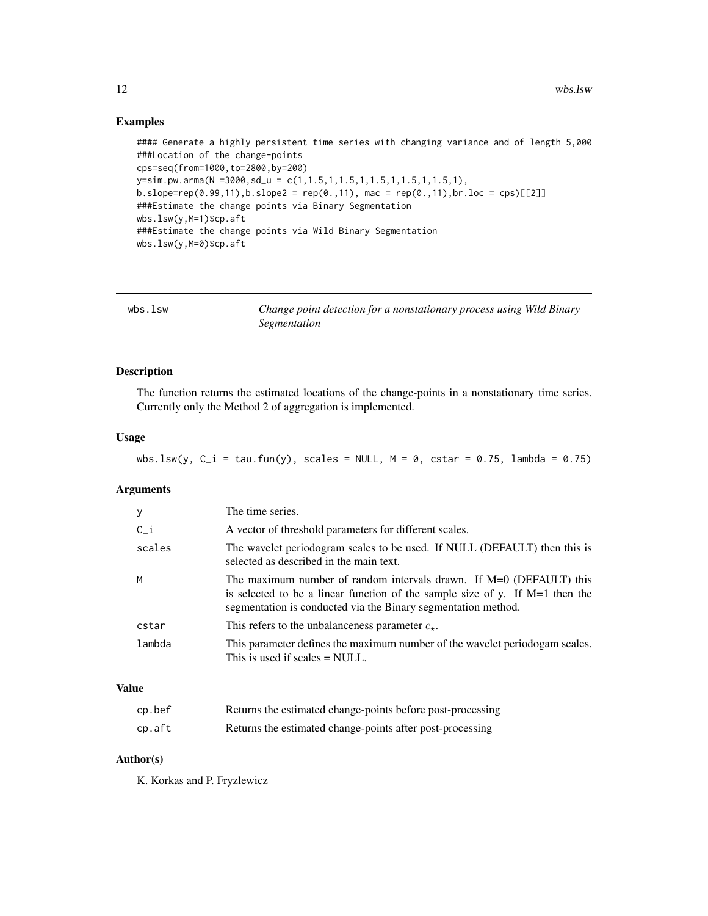## Examples

```
#### Generate a highly persistent time series with changing variance and of length 5,000
###Location of the change-points
cps=seq(from=1000,to=2800,by=200)
y=sim.pw.arma(N =3000,sd_u = c(1,1.5,1,1.5,1,1.5,1,1.5,1,1.5,1),
b.\,slope=rep(0.99,11), b.\,slope2 = rep(0.,11), mac = rep(0.,11), br.loc = cps)[[2]]###Estimate the change points via Binary Segmentation
wbs.lsw(y,M=1)$cp.aft
###Estimate the change points via Wild Binary Segmentation
wbs.lsw(y,M=0)$cp.aft
```

| wbs.lsw | Change point detection for a nonstationary process using Wild Binary |
|---------|----------------------------------------------------------------------|
|         | Segmentation                                                         |

## Description

The function returns the estimated locations of the change-points in a nonstationary time series. Currently only the Method 2 of aggregation is implemented.

#### Usage

```
wbs.lsw(y, C_i = tau.fun(y), scales = NULL, M = 0, cstar = 0.75, lambda = 0.75)
```
## Arguments

| y      | The time series.                                                                                                                                                                                                       |
|--------|------------------------------------------------------------------------------------------------------------------------------------------------------------------------------------------------------------------------|
| $C_i$  | A vector of threshold parameters for different scales.                                                                                                                                                                 |
| scales | The wavelet periodogram scales to be used. If NULL (DEFAULT) then this is<br>selected as described in the main text.                                                                                                   |
| M      | The maximum number of random intervals drawn. If M=0 (DEFAULT) this<br>is selected to be a linear function of the sample size of y. If $M=1$ then the<br>segmentation is conducted via the Binary segmentation method. |
| cstar  | This refers to the unbalanceness parameter $c_{\star}$ .                                                                                                                                                               |
| lambda | This parameter defines the maximum number of the wavelet periodogam scales.<br>This is used if scales $=$ NULL.                                                                                                        |

## Value

| cp.bef | Returns the estimated change-points before post-processing |
|--------|------------------------------------------------------------|
| cp.aft | Returns the estimated change-points after post-processing  |

## Author(s)

K. Korkas and P. Fryzlewicz

<span id="page-11-0"></span>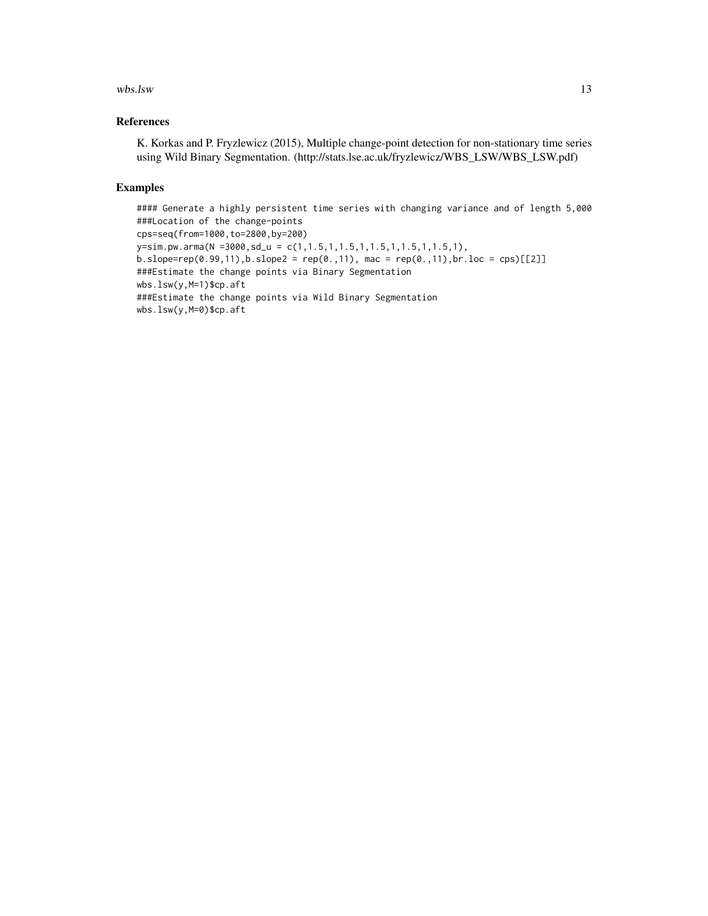#### wbs.lsw 13

## References

K. Korkas and P. Fryzlewicz (2015), Multiple change-point detection for non-stationary time series using Wild Binary Segmentation. (http://stats.lse.ac.uk/fryzlewicz/WBS\_LSW/WBS\_LSW.pdf)

## Examples

#### Generate a highly persistent time series with changing variance and of length 5,000 ###Location of the change-points cps=seq(from=1000,to=2800,by=200) y=sim.pw.arma(N =3000,sd\_u = c(1,1.5,1,1.5,1,1.5,1,1.5,1,1.5,1),  $b.slope = rep(0.99, 11), b.slope2 = rep(0., 11), mac = rep(0., 11), br.loc = cps)[[2]]$ ###Estimate the change points via Binary Segmentation wbs.lsw(y,M=1)\$cp.aft ###Estimate the change points via Wild Binary Segmentation wbs.lsw(y,M=0)\$cp.aft